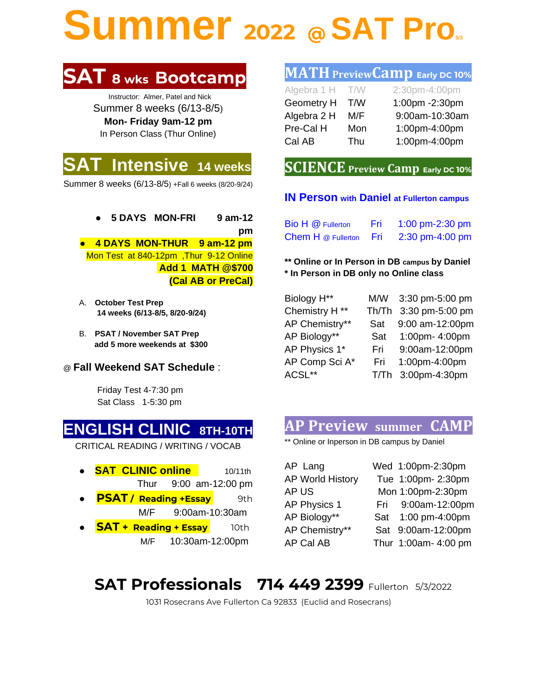# **Summer <sup>2022</sup> @ SAT Pro5/3**



Instructor: Almer, Patel and Nick Summer 8 weeks (6/13-8/5) **Mon- Friday 9am-12 pm** In Person Class (Thur Online)

## **Intensive 14 weeks**

Summer 8 weeks (6/13-8/5) +Fall 6 weeks (8/20-9/24)

● **5 DAYS MON-FRI 9 am-12 pm**  ● **4 DAYS MON-THUR 9 am-12 pm**  Mon Test at 840-12pm ,Thur 9-12 Online **Add 1 MATH @\$700 (Cal AB or PreCal)**

- A. **October Test Prep 14 weeks (6/13-8/5, 8/20-9/24)**
- B. **PSAT / November SAT Prep add 5 more weekends at \$300**

#### @ **Fall Weekend SAT Schedule** :

Friday Test 4-7:30 pm Sat Class 1-5:30 pm

### **ENGLISH CLINIC 8TH-10TH**

CRITICAL READING / WRITING / VOCAB

- **SAT CLINIC online** 10/11th Thur 9:00 am-12:00 pm
- **PSAT** / **Reading +Essay** 9th M/F 9:00am-10:30am
- **SAT + Reading + Essay** 10th M/F 10:30am-12:00pm

### **MATH PreviewCamp Early DC 10%**

| Algebra 1 H | T/W | 2:30pm-4:00pm  |
|-------------|-----|----------------|
| Geometry H  | T/W | 1:00pm -2:30pm |
| Algebra 2 H | M/F | 9:00am-10:30am |
| Pre-Cal H   | Mon | 1:00pm-4:00pm  |
| Cal AB      | Thu | 1:00pm-4:00pm  |

### **SCIENCE Preview Camp Early DC 10%**

#### **IN Person with Daniel at Fullerton campus**

| <b>Bio H @ Fullerton</b>  | Fri   | 1:00 pm-2:30 pm   |
|---------------------------|-------|-------------------|
| <b>Chem H</b> @ Fullerton | - Fri | $2:30$ pm-4:00 pm |

**\*\* Online or In Person in DB campus by Daniel \* In Person in DB only no Online class**

| Biology H**               | M/W   | 3:30 pm-5:00 pm |
|---------------------------|-------|-----------------|
| Chemistry H <sup>**</sup> | Th/Th | 3:30 pm-5:00 pm |
| AP Chemistry**            | Sat   | 9:00 am-12:00pm |
| AP Biology**              | Sat   | 1:00pm- 4:00pm  |
| AP Physics 1*             | Fri   | 9:00am-12:00pm  |
| AP Comp Sci A*            | Fri   | 1:00pm-4:00pm   |
| ACSL**                    | T/Th  | 3:00pm-4:30pm   |

### **AP Preview summer CAMP**

\*\* Online or Inperson in DB campus by Daniel

| AP Lang                 | Wed 1:00pm-2:30pm    |
|-------------------------|----------------------|
| <b>AP World History</b> | Tue 1:00pm-2:30pm    |
| AP US                   | Mon 1:00pm-2:30pm    |
| AP Physics 1            | Fri 9:00am-12:00pm   |
| AP Biology**            | Sat 1:00 pm-4:00pm   |
| AP Chemistry**          | Sat 9:00am-12:00pm   |
| AP Cal AB               | Thur 1:00am- 4:00 pm |

## **SAT Professionals 714 449 2399** Fullerton 5/3/2022

1031 Rosecrans Ave Fullerton Ca 92833 (Euclid and Rosecrans)